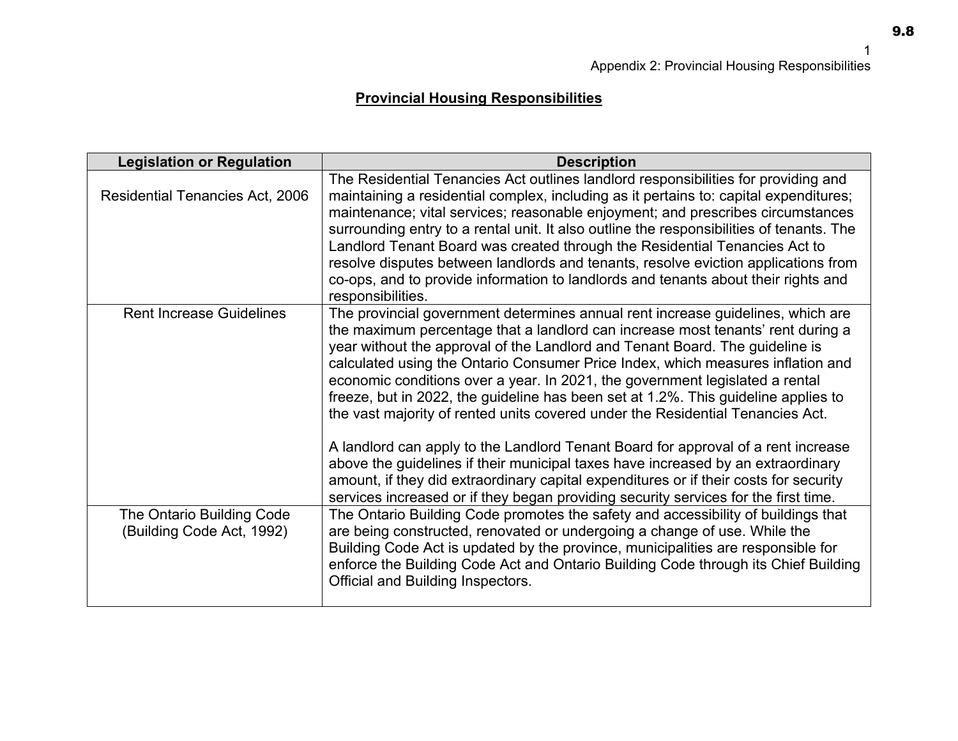## **Provincial Housing Responsibilities**

| <b>Legislation or Regulation</b>                       | <b>Description</b>                                                                                                                                                                                                                                                                                                                                                                                                                                                                                                                                                                                                                                                                                                                                                                                                                                                                                                                                     |
|--------------------------------------------------------|--------------------------------------------------------------------------------------------------------------------------------------------------------------------------------------------------------------------------------------------------------------------------------------------------------------------------------------------------------------------------------------------------------------------------------------------------------------------------------------------------------------------------------------------------------------------------------------------------------------------------------------------------------------------------------------------------------------------------------------------------------------------------------------------------------------------------------------------------------------------------------------------------------------------------------------------------------|
| <b>Residential Tenancies Act, 2006</b>                 | The Residential Tenancies Act outlines landlord responsibilities for providing and<br>maintaining a residential complex, including as it pertains to: capital expenditures;<br>maintenance; vital services; reasonable enjoyment; and prescribes circumstances<br>surrounding entry to a rental unit. It also outline the responsibilities of tenants. The<br>Landlord Tenant Board was created through the Residential Tenancies Act to<br>resolve disputes between landlords and tenants, resolve eviction applications from<br>co-ops, and to provide information to landlords and tenants about their rights and<br>responsibilities.                                                                                                                                                                                                                                                                                                              |
| <b>Rent Increase Guidelines</b>                        | The provincial government determines annual rent increase guidelines, which are<br>the maximum percentage that a landlord can increase most tenants' rent during a<br>year without the approval of the Landlord and Tenant Board. The guideline is<br>calculated using the Ontario Consumer Price Index, which measures inflation and<br>economic conditions over a year. In 2021, the government legislated a rental<br>freeze, but in 2022, the guideline has been set at 1.2%. This guideline applies to<br>the vast majority of rented units covered under the Residential Tenancies Act.<br>A landlord can apply to the Landlord Tenant Board for approval of a rent increase<br>above the guidelines if their municipal taxes have increased by an extraordinary<br>amount, if they did extraordinary capital expenditures or if their costs for security<br>services increased or if they began providing security services for the first time. |
| The Ontario Building Code<br>(Building Code Act, 1992) | The Ontario Building Code promotes the safety and accessibility of buildings that<br>are being constructed, renovated or undergoing a change of use. While the<br>Building Code Act is updated by the province, municipalities are responsible for<br>enforce the Building Code Act and Ontario Building Code through its Chief Building<br>Official and Building Inspectors.                                                                                                                                                                                                                                                                                                                                                                                                                                                                                                                                                                          |